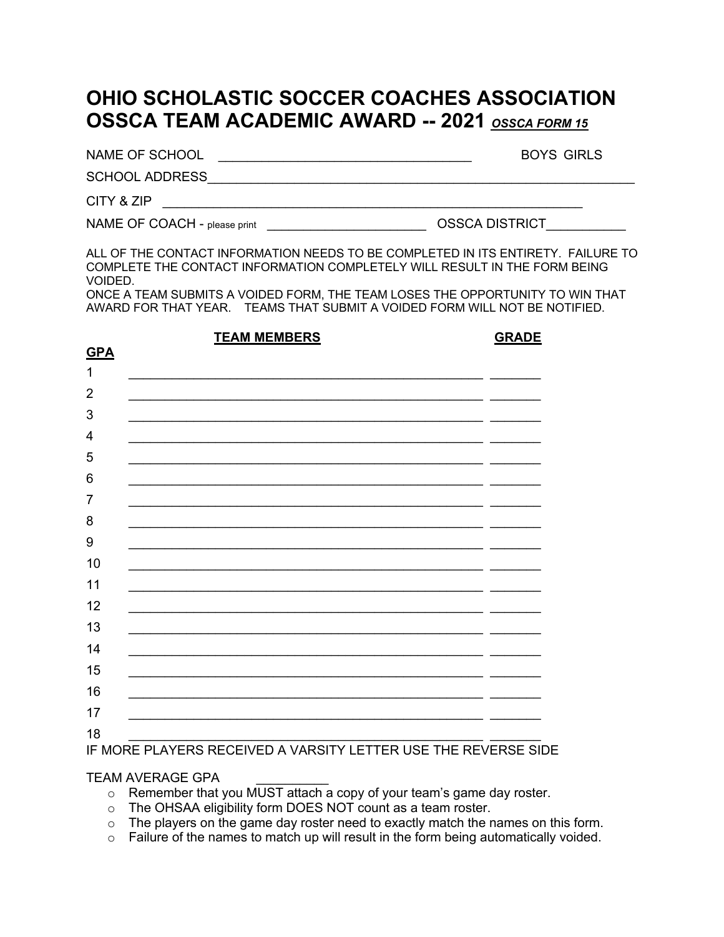### **OHIO SCHOLASTIC SOCCER COACHES ASSOCIATION OSSCA TEAM ACADEMIC AWARD -- 2021** *OSSCA FORM 15*

NAME OF SCHOOL \_\_\_\_\_\_\_\_\_\_\_\_\_\_\_\_\_\_\_\_\_\_\_\_\_\_\_\_\_\_\_\_\_\_\_ BOYS GIRLS

SCHOOL ADDRESS\_\_\_\_\_\_\_\_\_\_\_\_\_\_\_\_\_\_\_\_\_\_\_\_\_\_\_\_\_\_\_\_\_\_\_\_\_\_\_\_\_\_\_\_\_\_\_\_\_\_\_\_\_\_\_\_\_\_\_

CITY & ZIP \_\_\_\_\_\_\_\_\_\_\_\_\_\_\_\_\_\_\_\_\_\_\_\_\_\_\_\_\_\_\_\_\_\_\_\_\_\_\_\_\_\_\_\_\_\_\_\_\_\_\_\_\_\_\_\_\_\_

NAME OF COACH - please print \_\_\_\_\_\_\_\_\_\_\_\_\_\_\_\_\_\_\_\_\_\_ OSSCA DISTRICT\_\_\_\_\_\_\_\_\_\_\_

ALL OF THE CONTACT INFORMATION NEEDS TO BE COMPLETED IN ITS ENTIRETY. FAILURE TO COMPLETE THE CONTACT INFORMATION COMPLETELY WILL RESULT IN THE FORM BEING VOIDED.

ONCE A TEAM SUBMITS A VOIDED FORM, THE TEAM LOSES THE OPPORTUNITY TO WIN THAT AWARD FOR THAT YEAR. TEAMS THAT SUBMIT A VOIDED FORM WILL NOT BE NOTIFIED.

|                 | <b>TEAM MEMBERS</b> | <b>GRADE</b> |
|-----------------|---------------------|--------------|
| $GPA$           |                     |              |
| $\mathbf 1$     |                     |              |
| $\overline{2}$  |                     |              |
| $\mathfrak{B}$  |                     |              |
| 4               |                     |              |
| 5               |                     |              |
| $6\phantom{1}6$ |                     |              |
| 7               |                     |              |
| 8               |                     |              |
| 9               |                     |              |
| 10              |                     |              |
| 11              |                     |              |
| 12              |                     |              |
| 13              |                     |              |
|                 |                     |              |
| 14              |                     |              |
| 15              |                     |              |
| 16              |                     |              |
| 17              |                     |              |
| 18              | . .                 |              |

### IF MORE PLAYERS RECEIVED A VARSITY LETTER USE THE REVERSE SIDE

#### TEAM AVERAGE GPA \_\_\_\_\_\_\_\_\_\_

- o Remember that you MUST attach a copy of your team's game day roster.
- o The OHSAA eligibility form DOES NOT count as a team roster.
- o The players on the game day roster need to exactly match the names on this form.
- $\circ$  Failure of the names to match up will result in the form being automatically voided.